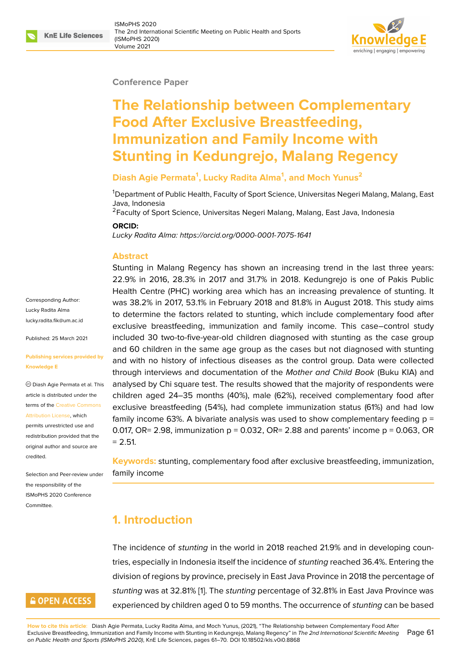#### **Conference Paper**

# **The Relationship between Complementary Food After Exclusive Breastfeeding, Immunization and Family Income with Stunting in Kedungrejo, Malang Regency**

#### **Diash Agie Permata<sup>1</sup> , Lucky Radita Alma<sup>1</sup> , and Moch Yunus<sup>2</sup>**

<sup>1</sup>Department of Public Health, Faculty of Sport Science, Universitas Negeri Malang, Malang, East Java, Indonesia

<sup>2</sup> Faculty of Sport Science, Universitas Negeri Malang, Malang, East Java, Indonesia

#### **ORCID:**

*Lucky Radita Alma: https://orcid.org/0000-0001-7075-1641*

#### **Abstract**

Corresponding Author: Lucky Radita Alma lucky.radita.fik@um.ac.id

Published: 25 March 2021

#### **[Publishing services prov](mailto:lucky.radita.fik@um.ac.id)ided by Knowledge E**

Diash Agie Permata et al. This article is distributed under the terms of the Creative Commons Attribution License, which

permits unrestricted use and redistribution provided that the original auth[or and source are](https://creativecommons.org/licenses/by/4.0/) [credited.](https://creativecommons.org/licenses/by/4.0/)

Selection and Peer-review under the responsibility of the ISMoPHS 2020 Conference Committee.

### **GOPEN ACCESS**

Stunting in Malang Regency has shown an increasing trend in the last three years: 22.9% in 2016, 2[8.3% in 2017 and 31.7% in 2018. Ke](https://orcid.org/0000-0001-7075-1641)dungrejo is one of Pakis Public Health Centre (PHC) working area which has an increasing prevalence of stunting. It was 38.2% in 2017, 53.1% in February 2018 and 81.8% in August 2018. This study aims to determine the factors related to stunting, which include complementary food after exclusive breastfeeding, immunization and family income. This case–control study included 30 two-to-five-year-old children diagnosed with stunting as the case group and 60 children in the same age group as the cases but not diagnosed with stunting and with no history of infectious diseases as the control group. Data were collected through interviews and documentation of the *Mother and Child Book* (Buku KIA) and analysed by Chi square test. The results showed that the majority of respondents were children aged 24–35 months (40%), male (62%), received complementary food after exclusive breastfeeding (54%), had complete immunization status (61%) and had low family income 63%. A bivariate analysis was used to show complementary feeding  $p =$ 0.017, OR= 2.98, immunization  $p = 0.032$ , OR= 2.88 and parents' income  $p = 0.063$ , OR  $= 2.51.$ 

**Keywords:** stunting, complementary food after exclusive breastfeeding, immunization, family income

# **1. Introduction**

The incidence of *stunting* in the world in 2018 reached 21.9% and in developing countries, especially in Indonesia itself the incidence of *stunting* reached 36.4%. Entering the division of regions by province, precisely in East Java Province in 2018 the percentage of *stunting* was at 32.81% [1]. The *stunting* percentage of 32.81% in East Java Province was experienced by children aged 0 to 59 months. The occurrence of *stunting* can be based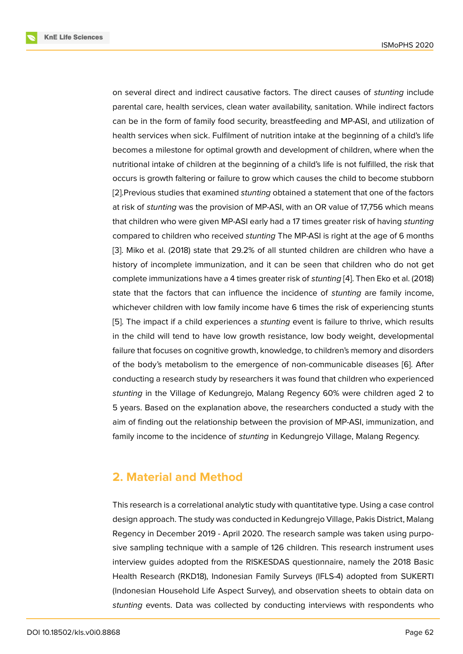on several direct and indirect causative factors. The direct causes of *stunting* include parental care, health services, clean water availability, sanitation. While indirect factors can be in the form of family food security, breastfeeding and MP-ASI, and utilization of health services when sick. Fulfilment of nutrition intake at the beginning of a child's life becomes a milestone for optimal growth and development of children, where when the nutritional intake of children at the beginning of a child's life is not fulfilled, the risk that occurs is growth faltering or failure to grow which causes the child to become stubborn [2].Previous studies that examined *stunting* obtained a statement that one of the factors at risk of *stunting* was the provision of MP-ASI, with an OR value of 17,756 which means that children who were given MP-ASI early had a 17 times greater risk of having *stunting* [co](#page-7-1)mpared to children who received *stunting* The MP-ASI is right at the age of 6 months [3]. Miko et al. (2018) state that 29.2% of all stunted children are children who have a history of incomplete immunization, and it can be seen that children who do not get complete immunizations have a 4 times greater risk of *stunting* [4]. Then Eko et al. (2018) [sta](#page-7-2)te that the factors that can influence the incidence of *stunting* are family income, whichever children with low family income have 6 times the risk of experiencing stunts [5]. The impact if a child experiences a *stunting* event is failur[e](#page-7-3) to thrive, which results in the child will tend to have low growth resistance, low body weight, developmental failure that focuses on cognitive growth, knowledge, to children's memory and disorders [of](#page-7-4) the body's metabolism to the emergence of non-communicable diseases [6]. After conducting a research study by researchers it was found that children who experienced *stunting* in the Village of Kedungrejo, Malang Regency 60% were children aged 2 to 5 years. Based on the explanation above, the researchers conducted a study [w](#page-8-0)ith the aim of finding out the relationship between the provision of MP-ASI, immunization, and family income to the incidence of *stunting* in Kedungrejo Village, Malang Regency.

### **2. Material and Method**

This research is a correlational analytic study with quantitative type. Using a case control design approach. The study was conducted in Kedungrejo Village, Pakis District, Malang Regency in December 2019 - April 2020. The research sample was taken using purposive sampling technique with a sample of 126 children. This research instrument uses interview guides adopted from the RISKESDAS questionnaire, namely the 2018 Basic Health Research (RKD18), Indonesian Family Surveys (IFLS-4) adopted from SUKERTI (Indonesian Household Life Aspect Survey), and observation sheets to obtain data on *stunting* events. Data was collected by conducting interviews with respondents who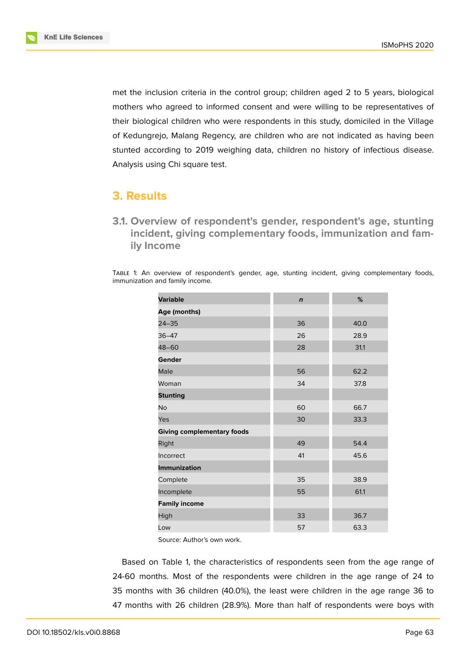

met the inclusion criteria in the control group; children aged 2 to 5 years, biological mothers who agreed to informed consent and were willing to be representatives of their biological children who were respondents in this study, domiciled in the Village of Kedungrejo, Malang Regency, are children who are not indicated as having been stunted according to 2019 weighing data, children no history of infectious disease. Analysis using Chi square test.

### **3. Results**

**3.1. Overview of respondent's gender, respondent's age, stunting incident, giving complementary foods, immunization and family Income**

TABLE 1: An overview of respondent's gender, age, stunting incident, giving complementary foods, immunization and family income.

| <b>Variable</b>                   | $\mathbf n$ | %    |
|-----------------------------------|-------------|------|
| Age (months)                      |             |      |
| $24 - 35$                         | 36          | 40.0 |
| $36 - 47$                         | 26          | 28.9 |
| 48-60                             | 28          | 31.1 |
| Gender                            |             |      |
| Male                              | 56          | 62.2 |
| Woman                             | 34          | 37.8 |
| <b>Stunting</b>                   |             |      |
| No                                | 60          | 66.7 |
| Yes                               | 30          | 33.3 |
| <b>Giving complementary foods</b> |             |      |
| Right                             | 49          | 54.4 |
| Incorrect                         | 41          | 45.6 |
| <b>Immunization</b>               |             |      |
| Complete                          | 35          | 38.9 |
| Incomplete                        | 55          | 61.1 |
| <b>Family income</b>              |             |      |
| High                              | 33          | 36.7 |
| Low                               | 57          | 63.3 |

Source: Author's own work.

Based on Table 1, the characteristics of respondents seen from the age range of 24-60 months. Most of the respondents were children in the age range of 24 to 35 months with 36 children (40.0%), the least were children in the age range 36 to 47 months with 26 children (28.9%). More than half of respondents were boys with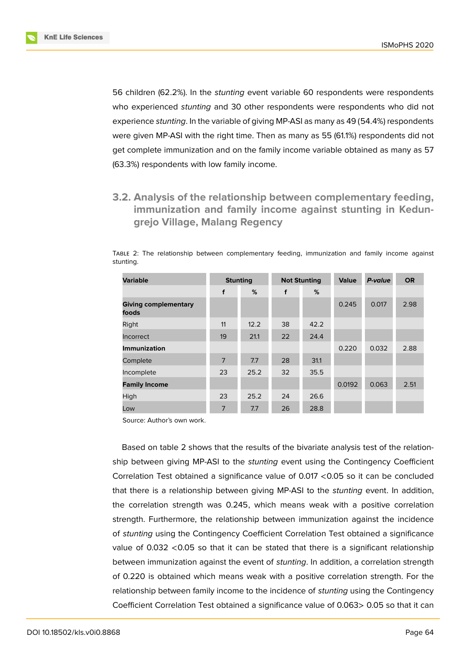

56 children (62.2%). In the *stunting* event variable 60 respondents were respondents who experienced *stunting* and 30 other respondents were respondents who did not experience *stunting*. In the variable of giving MP-ASI as many as 49 (54.4%) respondents were given MP-ASI with the right time. Then as many as 55 (61.1%) respondents did not get complete immunization and on the family income variable obtained as many as 57 (63.3%) respondents with low family income.

### **3.2. Analysis of the relationship between complementary feeding, immunization and family income against stunting in Kedungrejo Village, Malang Regency**

TABLE 2: The relationship between complementary feeding, immunization and family income against stunting.

| <b>Variable</b>                      | <b>Stunting</b> |      | <b>Not Stunting</b> |      | <b>Value</b> | P-value | <b>OR</b> |
|--------------------------------------|-----------------|------|---------------------|------|--------------|---------|-----------|
|                                      | f               | %    | f                   | %    |              |         |           |
| <b>Giving complementary</b><br>foods |                 |      |                     |      | 0.245        | 0.017   | 2.98      |
| Right                                | 11              | 12.2 | 38                  | 42.2 |              |         |           |
| Incorrect                            | 19              | 21.1 | 22                  | 24.4 |              |         |           |
| <b>Immunization</b>                  |                 |      |                     |      | 0.220        | 0.032   | 2.88      |
| Complete                             | $\overline{7}$  | 7.7  | 28                  | 31.1 |              |         |           |
| Incomplete                           | 23              | 25.2 | 32                  | 35.5 |              |         |           |
| <b>Family Income</b>                 |                 |      |                     |      | 0.0192       | 0.063   | 2.51      |
| High                                 | 23              | 25.2 | 24                  | 26.6 |              |         |           |
| Low                                  | 7               | 7.7  | 26                  | 28.8 |              |         |           |

Source: Author's own work.

Based on table 2 shows that the results of the bivariate analysis test of the relationship between giving MP-ASI to the *stunting* event using the Contingency Coefficient Correlation Test obtained a significance value of 0.017 <0.05 so it can be concluded that there is a relationship between giving MP-ASI to the *stunting* event. In addition, the correlation strength was 0.245, which means weak with a positive correlation strength. Furthermore, the relationship between immunization against the incidence of *stunting* using the Contingency Coefficient Correlation Test obtained a significance value of 0.032 <0.05 so that it can be stated that there is a significant relationship between immunization against the event of *stunting*. In addition, a correlation strength of 0.220 is obtained which means weak with a positive correlation strength. For the relationship between family income to the incidence of *stunting* using the Contingency Coefficient Correlation Test obtained a significance value of 0.063> 0.05 so that it can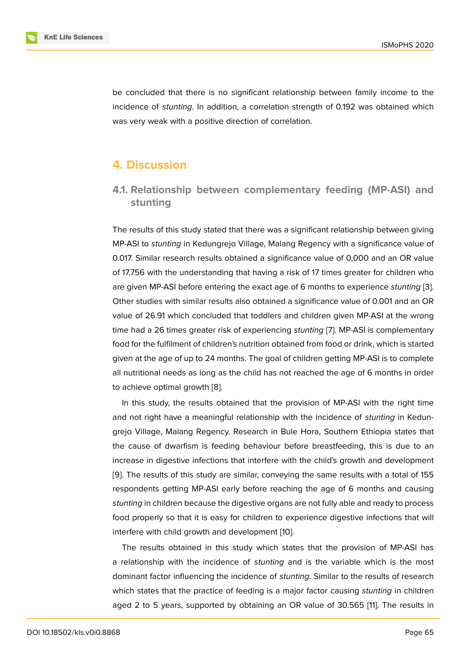be concluded that there is no significant relationship between family income to the incidence of *stunting*. In addition, a correlation strength of 0.192 was obtained which was very weak with a positive direction of correlation.

# **4. Discussion**

### **4.1. Relationship between complementary feeding (MP-ASI) and stunting**

The results of this study stated that there was a significant relationship between giving MP-ASI to *stunting* in Kedungrejo Village, Malang Regency with a significance value of 0.017. Similar research results obtained a significance value of 0,000 and an OR value of 17.756 with the understanding that having a risk of 17 times greater for children who are given MP-ASI before entering the exact age of 6 months to experience *stunting* [3]. Other studies with similar results also obtained a significance value of 0.001 and an OR value of 26.91 which concluded that toddlers and children given MP-ASI at the wrong time had a 26 times greater risk of experiencing *stunting* [7]. MP-ASI is complement[ary](#page-7-2) food for the fulfilment of children's nutrition obtained from food or drink, which is started given at the age of up to 24 months. The goal of children getting MP-ASI is to complete all nutritional needs as long as the child has not reached [th](#page-8-1)e age of 6 months in order to achieve optimal growth [8].

In this study, the results obtained that the provision of MP-ASI with the right time and not right have a meaningful relationship with the incidence of *stunting* in Kedungrejo Village, Malang Reg[en](#page-8-2)cy. Research in Bule Hora, Southern Ethiopia states that the cause of dwarfism is feeding behaviour before breastfeeding, this is due to an increase in digestive infections that interfere with the child's growth and development [9]. The results of this study are similar, conveying the same results with a total of 155 respondents getting MP-ASI early before reaching the age of 6 months and causing *stunting* in children because the digestive organs are not fully able and ready to process [fo](#page-8-3)od properly so that it is easy for children to experience digestive infections that will interfere with child growth and development [10].

The results obtained in this study which states that the provision of MP-ASI has a relationship with the incidence of *stunting* and is the variable which is the most dominant factor influencing the incidence of *[stu](#page-8-4)nting*. Similar to the results of research which states that the practice of feeding is a major factor causing *stunting* in children aged 2 to 5 years, supported by obtaining an OR value of 30.565 [11]. The results in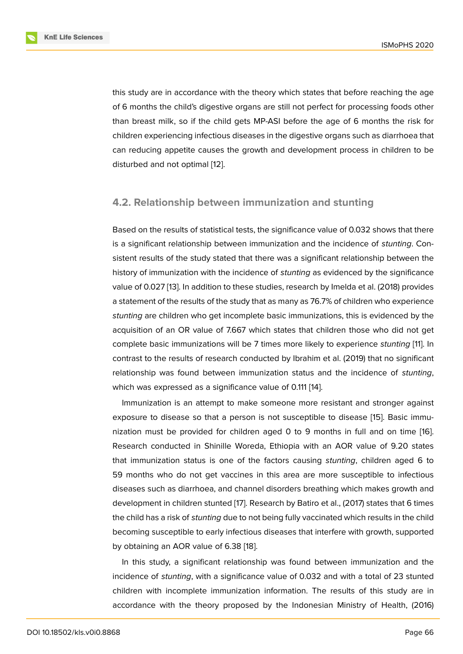this study are in accordance with the theory which states that before reaching the age of 6 months the child's digestive organs are still not perfect for processing foods other than breast milk, so if the child gets MP-ASI before the age of 6 months the risk for children experiencing infectious diseases in the digestive organs such as diarrhoea that can reducing appetite causes the growth and development process in children to be disturbed and not optimal [12].

#### **4.2. Relationship be[tw](#page-8-5)een immunization and stunting**

Based on the results of statistical tests, the significance value of 0.032 shows that there is a significant relationship between immunization and the incidence of *stunting*. Consistent results of the study stated that there was a significant relationship between the history of immunization with the incidence of *stunting* as evidenced by the significance value of 0.027 [13]. In addition to these studies, research by Imelda et al. (2018) provides a statement of the results of the study that as many as 76.7% of children who experience *stunting* are children who get incomplete basic immunizations, this is evidenced by the acquisition of [an](#page-8-6) OR value of 7.667 which states that children those who did not get complete basic immunizations will be 7 times more likely to experience *stunting* [11]. In contrast to the results of research conducted by Ibrahim et al. (2019) that no significant relationship was found between immunization status and the incidence of *stunting*, which was expressed as a significance value of 0.111 [14].

Immunization is an attempt to make someone more resistant and stronger against exposure to disease so that a person is not susceptible to disease [15]. Basic immunization must be provided for children aged 0 to 9 [m](#page-8-7)onths in full and on time [16]. Research conducted in Shinille Woreda, Ethiopia with an AOR value of 9.20 states that immunization status is one of the factors causing *stunting*, chi[ldr](#page-8-8)en aged 6 to 59 months who do not get vaccines in this area are more susceptible to infecti[ou](#page-8-9)s diseases such as diarrhoea, and channel disorders breathing which makes growth and development in children stunted [17]. Research by Batiro et al., (2017) states that 6 times the child has a risk of *stunting* due to not being fully vaccinated which results in the child becoming susceptible to early infectious diseases that interfere with growth, supported by obtaining an AOR value of 6.[38](#page-8-10) [18].

In this study, a significant relationship was found between immunization and the incidence of *stunting*, with a significance value of 0.032 and with a total of 23 stunted children with incomplete immuniz[atio](#page-9-0)n information. The results of this study are in accordance with the theory proposed by the Indonesian Ministry of Health, (2016)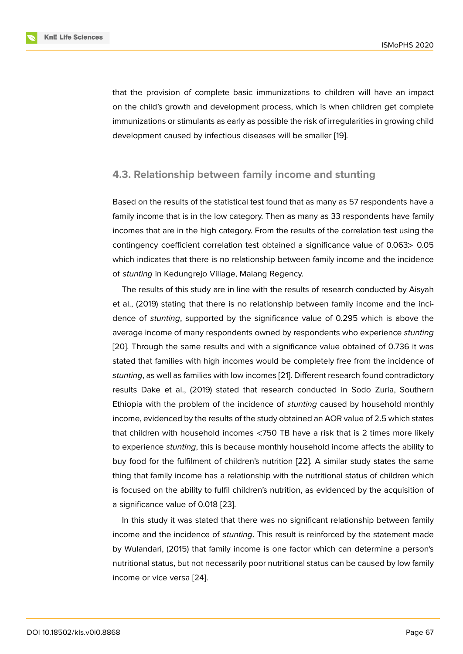that the provision of complete basic immunizations to children will have an impact on the child's growth and development process, which is when children get complete immunizations or stimulants as early as possible the risk of irregularities in growing child development caused by infectious diseases will be smaller [19].

#### **4.3. Relationship between family income and [stu](#page-9-1)nting**

Based on the results of the statistical test found that as many as 57 respondents have a family income that is in the low category. Then as many as 33 respondents have family incomes that are in the high category. From the results of the correlation test using the contingency coefficient correlation test obtained a significance value of 0.063> 0.05 which indicates that there is no relationship between family income and the incidence of *stunting* in Kedungrejo Village, Malang Regency.

The results of this study are in line with the results of research conducted by Aisyah et al., (2019) stating that there is no relationship between family income and the incidence of *stunting*, supported by the significance value of 0.295 which is above the average income of many respondents owned by respondents who experience *stunting* [20]. Through the same results and with a significance value obtained of 0.736 it was stated that families with high incomes would be completely free from the incidence of *stunting*, as well as families with low incomes [21]. Different research found contradictory [resu](#page-9-2)lts Dake et al., (2019) stated that research conducted in Sodo Zuria, Southern Ethiopia with the problem of the incidence of *stunting* caused by household monthly income, evidenced by the results of the study [ob](#page-9-3)tained an AOR value of 2.5 which states that children with household incomes <750 TB have a risk that is 2 times more likely to experience *stunting*, this is because monthly household income affects the ability to buy food for the fulfilment of children's nutrition [22]. A similar study states the same thing that family income has a relationship with the nutritional status of children which is focused on the ability to fulfil children's nutrition, as evidenced by the acquisition of a significance value of 0.018 [23].

In this study it was stated that there was no significant relationship between family income and the incidence of *stunting*. This result is reinforced by the statement made by Wulandari, (2015) that fa[mily](#page-9-4) income is one factor which can determine a person's nutritional status, but not necessarily poor nutritional status can be caused by low family income or vice versa [24].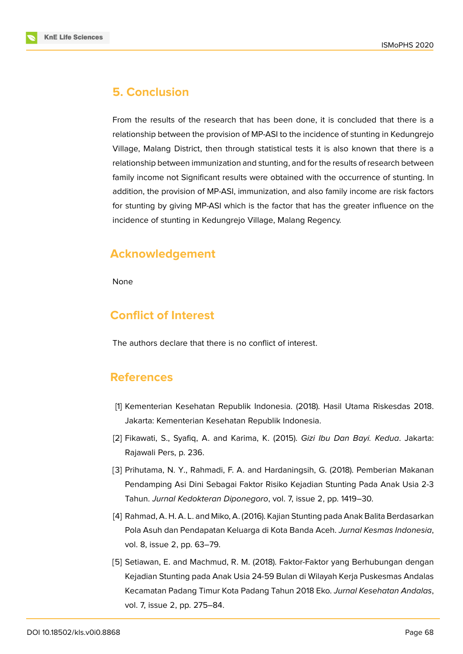

### **5. Conclusion**

From the results of the research that has been done, it is concluded that there is a relationship between the provision of MP-ASI to the incidence of stunting in Kedungrejo Village, Malang District, then through statistical tests it is also known that there is a relationship between immunization and stunting, and for the results of research between family income not Significant results were obtained with the occurrence of stunting. In addition, the provision of MP-ASI, immunization, and also family income are risk factors for stunting by giving MP-ASI which is the factor that has the greater influence on the incidence of stunting in Kedungrejo Village, Malang Regency.

# **Acknowledgement**

None

# **Conflict of Interest**

The authors declare that there is no conflict of interest.

### **References**

- <span id="page-7-0"></span>[1] Kementerian Kesehatan Republik Indonesia. (2018). Hasil Utama Riskesdas 2018. Jakarta: Kementerian Kesehatan Republik Indonesia.
- <span id="page-7-1"></span>[2] Fikawati, S., Syafiq, A. and Karima, K. (2015). *Gizi Ibu Dan Bayi. Kedua*. Jakarta: Rajawali Pers, p. 236.
- <span id="page-7-2"></span>[3] Prihutama, N. Y., Rahmadi, F. A. and Hardaningsih, G. (2018). Pemberian Makanan Pendamping Asi Dini Sebagai Faktor Risiko Kejadian Stunting Pada Anak Usia 2-3 Tahun. *Jurnal Kedokteran Diponegoro*, vol. 7, issue 2, pp. 1419–30.
- <span id="page-7-3"></span>[4] Rahmad, A. H. A. L. and Miko, A. (2016). Kajian Stunting pada Anak Balita Berdasarkan Pola Asuh dan Pendapatan Keluarga di Kota Banda Aceh. *Jurnal Kesmas Indonesia*, vol. 8, issue 2, pp. 63–79.
- <span id="page-7-4"></span>[5] Setiawan, E. and Machmud, R. M. (2018). Faktor-Faktor yang Berhubungan dengan Kejadian Stunting pada Anak Usia 24-59 Bulan di Wilayah Kerja Puskesmas Andalas Kecamatan Padang Timur Kota Padang Tahun 2018 Eko. *Jurnal Kesehatan Andalas*, vol. 7, issue 2, pp. 275–84.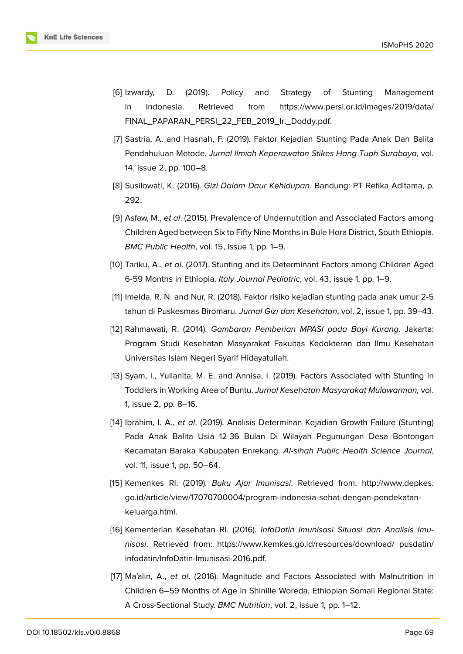- [6] Izwardy, D. (2019). Policy and Strategy of Stunting Management in Indonesia. Retrieved from https://www.persi.or.id/images/2019/data/ FINAL\_PAPARAN\_PERSI\_22\_FEB\_2019\_Ir.\_Doddy.pdf.
- <span id="page-8-0"></span>[7] Sastria, A. and Hasnah, F. (2019). Faktor [Kejadian Stunting Pada Anak Dan Balita](https://www.persi.or.id/images/2019/data/FINAL_PAPARAN_PERSI_22_FEB_2019_Ir._Doddy.pdf.) Pendahuluan Metode. *[Jurnal Ilmiah Keperawatan Stikes](https://www.persi.or.id/images/2019/data/FINAL_PAPARAN_PERSI_22_FEB_2019_Ir._Doddy.pdf.) Hang Tuah Surabaya*, vol. 14, issue 2, pp. 100–8.
- <span id="page-8-1"></span>[8] Susilowati, K. (2016). *Gizi Dalam Daur Kehidupan.* Bandung: PT Refika Aditama, p. 292.
- <span id="page-8-2"></span>[9] Asfaw, M., *et al*. (2015). Prevalence of Undernutrition and Associated Factors among Children Aged between Six to Fifty Nine Months in Bule Hora District, South Ethiopia. *BMC Public Health*, vol. 15, issue 1, pp. 1–9.
- <span id="page-8-3"></span>[10] Tariku, A., *et al*. (2017). Stunting and its Determinant Factors among Children Aged 6-59 Months in Ethiopia. *Italy Journal Pediatric*, vol. 43, issue 1, pp. 1–9.
- <span id="page-8-4"></span>[11] Imelda, R. N. and Nur, R. (2018). Faktor risiko kejadian stunting pada anak umur 2-5 tahun di Puskesmas Biromaru. *Jurnal Gizi dan Kesehatan*, vol. 2, issue 1, pp. 39–43.
- [12] Rahmawati, R. (2014). *Gambaran Pemberian MPASI pada Bayi Kurang*. Jakarta: Program Studi Kesehatan Masyarakat Fakultas Kedokteran dan Ilmu Kesehatan Universitas Islam Negeri Syarif Hidayatullah.
- <span id="page-8-5"></span>[13] Syam, I., Yulianita, M. E. and Annisa, I. (2019). Factors Associated with Stunting in Toddlers in Working Area of Buntu. *Jurnal Kesehatan Masyarakat Mulawarman,* vol. 1, issue 2, pp. 8–16.
- <span id="page-8-6"></span>[14] Ibrahim, I. A., *et al*. (2019). Analisis Determinan Kejadian Growth Failure (Stunting) Pada Anak Balita Usia 12-36 Bulan Di Wilayah Pegunungan Desa Bontongan Kecamatan Baraka Kabupaten Enrekang. *Al-sihah Public Health Science Journal*, vol. 11, issue 1, pp. 50–64.
- <span id="page-8-7"></span>[15] Kemenkes RI. (2019). *Buku Ajar Imunisasi*. Retrieved from: http://www.depkes. go.id/article/view/17070700004/program-indonesia-sehat-dengan-pendekatankeluarga.html.
- <span id="page-8-8"></span>[16] Kementerian Kesehatan RI. (2016). *[InfoDatin Imunisasi Situasi dan Analisis Imu](http://www.depkes.go.id/article/view/17070700004/program-indonesia-sehat-dengan-pendekatan-keluarga.html.)nisasi*[. Retriev](http://www.depkes.go.id/article/view/17070700004/program-indonesia-sehat-dengan-pendekatan-keluarga.html.)ed from: https://www.kemkes.go.id/resources/download/ pusdatin/ infodatin/InfoDatin-Imunisasi-2016.pdf.
- <span id="page-8-10"></span><span id="page-8-9"></span>[17] Ma'alin, A., *et al*. (2016)[. Magnitude and Factors Associated with Maln](https://www.kemkes.go.id/resources/download/)utrition in Children 6–59 Months of Age in Shinille Woreda, Ethiopian Somali Regional State: A Cross-Sectional Study. *BMC Nutrition*, vol. 2, issue 1, pp. 1–12.